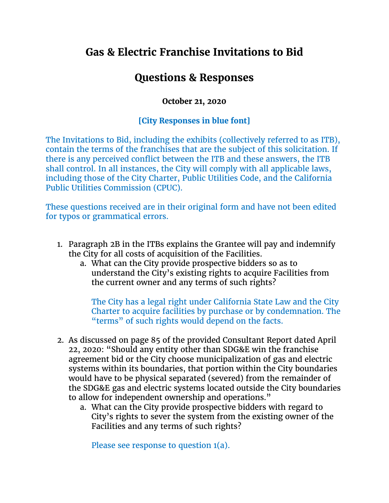## **Gas & Electric Franchise Invitations to Bid**

## **Questions & Responses**

## **October 21, 2020**

## **[City Responses in blue font]**

The Invitations to Bid, including the exhibits (collectively referred to as ITB), contain the terms of the franchises that are the subject of this solicitation. If there is any perceived conflict between the ITB and these answers, the ITB shall control. In all instances, the City will comply with all applicable laws, including those of the City Charter, Public Utilities Code, and the California Public Utilities Commission (CPUC).

These questions received are in their original form and have not been edited for typos or grammatical errors.

- 1. Paragraph 2B in the ITBs explains the Grantee will pay and indemnify the City for all costs of acquisition of the Facilities.
	- a. What can the City provide prospective bidders so as to understand the City's existing rights to acquire Facilities from the current owner and any terms of such rights?

The City has a legal right under California State Law and the City Charter to acquire facilities by purchase or by condemnation. The "terms" of such rights would depend on the facts.

- 2. As discussed on page 85 of the provided Consultant Report dated April 22, 2020: "Should any entity other than SDG&E win the franchise agreement bid or the City choose municipalization of gas and electric systems within its boundaries, that portion within the City boundaries would have to be physical separated (severed) from the remainder of the SDG&E gas and electric systems located outside the City boundaries to allow for independent ownership and operations."
	- a. What can the City provide prospective bidders with regard to City's rights to sever the system from the existing owner of the Facilities and any terms of such rights?

Please see response to question 1(a).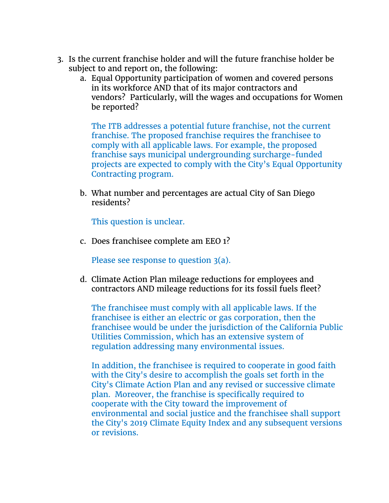- 3. Is the current franchise holder and will the future franchise holder be subject to and report on, the following:
	- a. Equal Opportunity participation of women and covered persons in its workforce AND that of its major contractors and vendors? Particularly, will the wages and occupations for Women be reported?

The ITB addresses a potential future franchise, not the current franchise. The proposed franchise requires the franchisee to comply with all applicable laws. For example, the proposed franchise says municipal undergrounding surcharge-funded projects are expected to comply with the City's Equal Opportunity Contracting program.

b. What number and percentages are actual City of San Diego residents?

This question is unclear.

c. Does franchisee complete am EEO 1?

Please see response to question 3(a).

d. Climate Action Plan mileage reductions for employees and contractors AND mileage reductions for its fossil fuels fleet?

The franchisee must comply with all applicable laws. If the franchisee is either an electric or gas corporation, then the franchisee would be under the jurisdiction of the California Public Utilities Commission, which has an extensive system of regulation addressing many environmental issues.

In addition, the franchisee is required to cooperate in good faith with the City's desire to accomplish the goals set forth in the City's Climate Action Plan and any revised or successive climate plan. Moreover, the franchise is specifically required to cooperate with the City toward the improvement of environmental and social justice and the franchisee shall support the City's 2019 Climate Equity Index and any subsequent versions or revisions.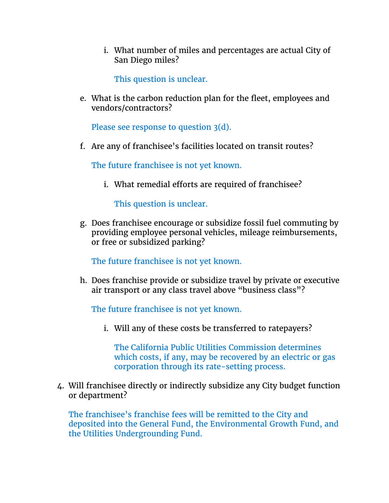i. What number of miles and percentages are actual City of San Diego miles?

This question is unclear.

e. What is the carbon reduction plan for the fleet, employees and vendors/contractors?

Please see response to question 3(d).

f. Are any of franchisee's facilities located on transit routes?

The future franchisee is not yet known.

i. What remedial efforts are required of franchisee?

This question is unclear.

g. Does franchisee encourage or subsidize fossil fuel commuting by providing employee personal vehicles, mileage reimbursements, or free or subsidized parking?

The future franchisee is not yet known.

h. Does franchise provide or subsidize travel by private or executive air transport or any class travel above "business class"?

The future franchisee is not yet known.

i. Will any of these costs be transferred to ratepayers?

The California Public Utilities Commission determines which costs, if any, may be recovered by an electric or gas corporation through its rate-setting process.

4. Will franchisee directly or indirectly subsidize any City budget function or department?

The franchisee's franchise fees will be remitted to the City and deposited into the General Fund, the Environmental Growth Fund, and the Utilities Undergrounding Fund.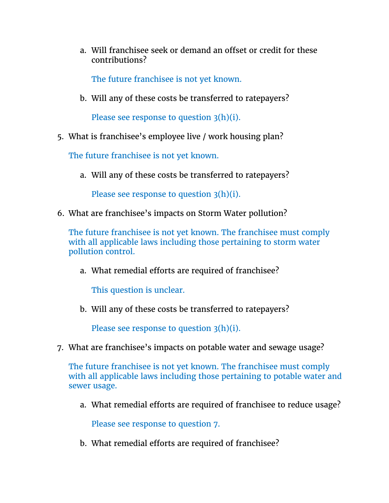a. Will franchisee seek or demand an offset or credit for these contributions?

The future franchisee is not yet known.

b. Will any of these costs be transferred to ratepayers?

Please see response to question 3(h)(i).

5. What is franchisee's employee live / work housing plan?

The future franchisee is not yet known.

a. Will any of these costs be transferred to ratepayers?

Please see response to question 3(h)(i).

6. What are franchisee's impacts on Storm Water pollution?

The future franchisee is not yet known. The franchisee must comply with all applicable laws including those pertaining to storm water pollution control.

a. What remedial efforts are required of franchisee?

This question is unclear.

b. Will any of these costs be transferred to ratepayers?

Please see response to question 3(h)(i).

7. What are franchisee's impacts on potable water and sewage usage?

The future franchisee is not yet known. The franchisee must comply with all applicable laws including those pertaining to potable water and sewer usage.

a. What remedial efforts are required of franchisee to reduce usage?

Please see response to question 7.

b. What remedial efforts are required of franchisee?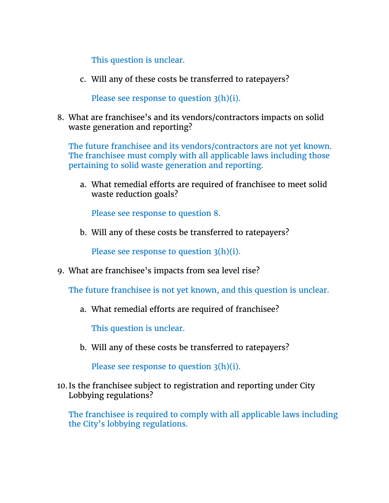This question is unclear.

c. Will any of these costs be transferred to ratepayers?

Please see response to question 3(h)(i).

8. What are franchisee's and its vendors/contractors impacts on solid waste generation and reporting?

The future franchisee and its vendors/contractors are not yet known. The franchisee must comply with all applicable laws including those pertaining to solid waste generation and reporting.

a. What remedial efforts are required of franchisee to meet solid waste reduction goals?

Please see response to question 8.

b. Will any of these costs be transferred to ratepayers?

Please see response to question 3(h)(i).

9. What are franchisee's impacts from sea level rise?

The future franchisee is not yet known, and this question is unclear.

a. What remedial efforts are required of franchisee?

This question is unclear.

b. Will any of these costs be transferred to ratepayers?

Please see response to question 3(h)(i).

10. Is the franchisee subject to registration and reporting under City Lobbying regulations?

The franchisee is required to comply with all applicable laws including the City's lobbying regulations.